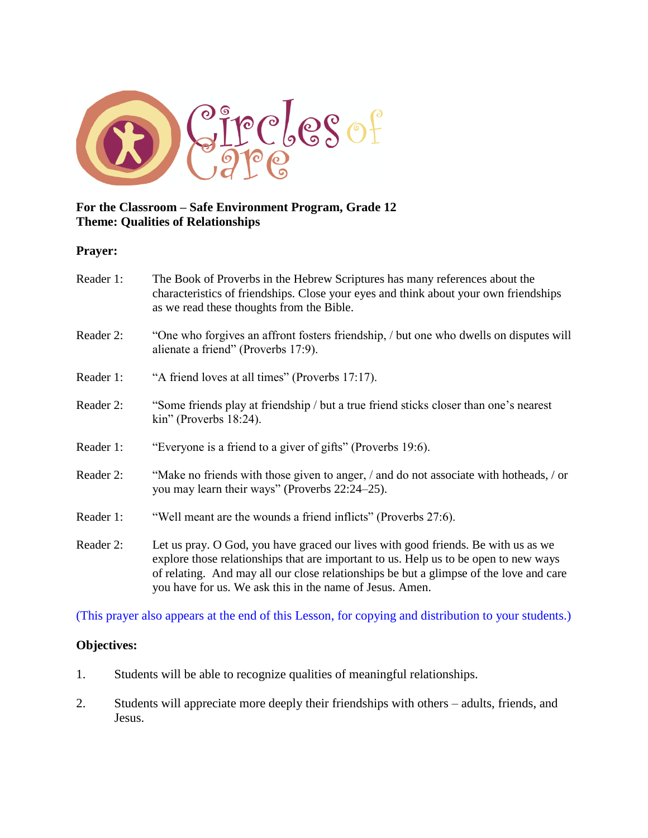

#### **For the Classroom – Safe Environment Program, Grade 12 Theme: Qualities of Relationships**

#### **Prayer:**

| Reader 1: | The Book of Proverbs in the Hebrew Scriptures has many references about the<br>characteristics of friendships. Close your eyes and think about your own friendships<br>as we read these thoughts from the Bible.                                                                                                                |  |
|-----------|---------------------------------------------------------------------------------------------------------------------------------------------------------------------------------------------------------------------------------------------------------------------------------------------------------------------------------|--|
| Reader 2: | "One who forgives an affront fosters friendship, <i>I</i> but one who dwells on disputes will<br>alienate a friend" (Proverbs 17:9).                                                                                                                                                                                            |  |
| Reader 1: | "A friend loves at all times" (Proverbs 17:17).                                                                                                                                                                                                                                                                                 |  |
| Reader 2: | "Some friends play at friendship / but a true friend sticks closer than one's nearest<br>$\text{kin}$ " (Proverbs 18:24).                                                                                                                                                                                                       |  |
| Reader 1: | "Everyone is a friend to a giver of gifts" (Proverbs 19:6).                                                                                                                                                                                                                                                                     |  |
| Reader 2: | "Make no friends with those given to anger, / and do not associate with hotheads, / or<br>you may learn their ways" (Proverbs 22:24–25).                                                                                                                                                                                        |  |
| Reader 1: | "Well meant are the wounds a friend inflicts" (Proverbs 27:6).                                                                                                                                                                                                                                                                  |  |
| Reader 2: | Let us pray. O God, you have graced our lives with good friends. Be with us as we<br>explore those relationships that are important to us. Help us to be open to new ways<br>of relating. And may all our close relationships be but a glimpse of the love and care<br>you have for us. We ask this in the name of Jesus. Amen. |  |

(This prayer also appears at the end of this Lesson, for copying and distribution to your students.)

#### **Objectives:**

- 1. Students will be able to recognize qualities of meaningful relationships.
- 2. Students will appreciate more deeply their friendships with others adults, friends, and Jesus.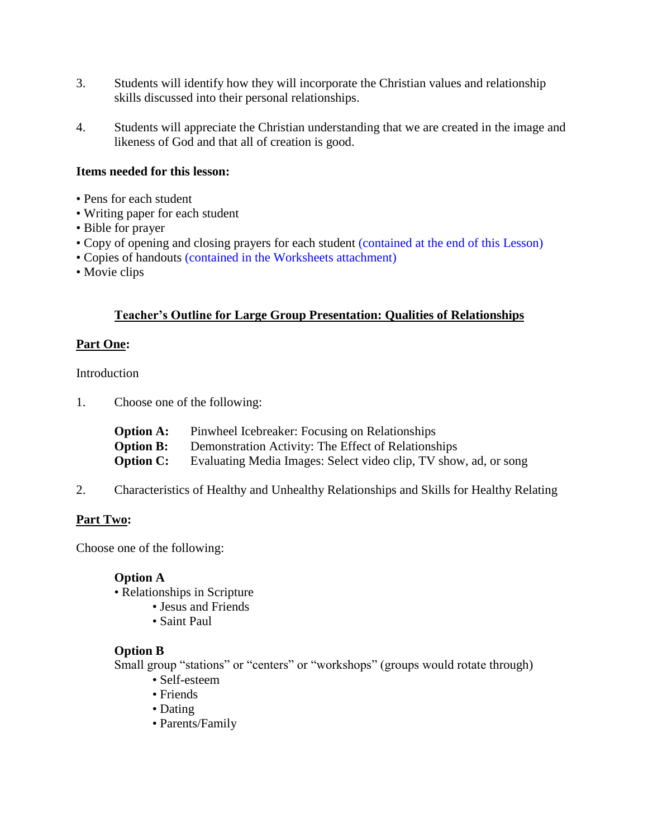- 3. Students will identify how they will incorporate the Christian values and relationship skills discussed into their personal relationships.
- 4. Students will appreciate the Christian understanding that we are created in the image and likeness of God and that all of creation is good.

#### **Items needed for this lesson:**

- Pens for each student
- Writing paper for each student
- Bible for prayer
- Copy of opening and closing prayers for each student (contained at the end of this Lesson)
- Copies of handouts (contained in the Worksheets attachment)
- Movie clips

#### **Teacher's Outline for Large Group Presentation: Qualities of Relationships**

#### **Part One:**

Introduction

1. Choose one of the following:

| <b>Option A:</b> | Pinwheel Icebreaker: Focusing on Relationships                   |
|------------------|------------------------------------------------------------------|
| <b>Option B:</b> | Demonstration Activity: The Effect of Relationships              |
| <b>Option C:</b> | Evaluating Media Images: Select video clip, TV show, ad, or song |

2. Characteristics of Healthy and Unhealthy Relationships and Skills for Healthy Relating

#### **Part Two:**

Choose one of the following:

#### **Option A**

• Relationships in Scripture

- Jesus and Friends
	- Saint Paul

#### **Option B**

Small group "stations" or "centers" or "workshops" (groups would rotate through)

- Self-esteem
- Friends
- Dating
- Parents/Family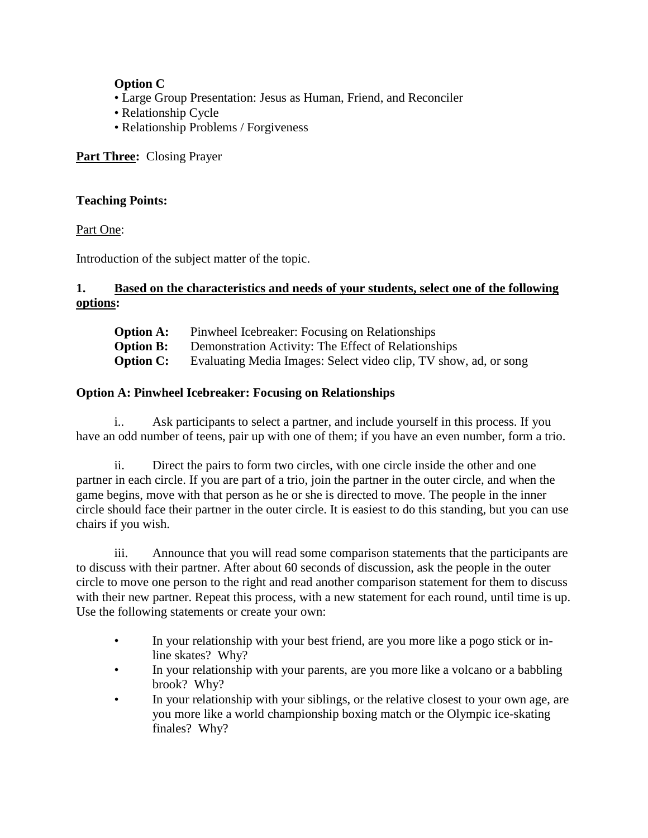#### **Option C**

- Large Group Presentation: Jesus as Human, Friend, and Reconciler
- Relationship Cycle
- Relationship Problems / Forgiveness

#### **Part Three:** Closing Prayer

#### **Teaching Points:**

Part One:

Introduction of the subject matter of the topic.

#### **1. Based on the characteristics and needs of your students, select one of the following options:**

| <b>Option A:</b> | Pinwheel Icebreaker: Focusing on Relationships                   |
|------------------|------------------------------------------------------------------|
| <b>Option B:</b> | Demonstration Activity: The Effect of Relationships              |
| <b>Option C:</b> | Evaluating Media Images: Select video clip, TV show, ad, or song |

#### **Option A: Pinwheel Icebreaker: Focusing on Relationships**

i.. Ask participants to select a partner, and include yourself in this process. If you have an odd number of teens, pair up with one of them; if you have an even number, form a trio.

ii. Direct the pairs to form two circles, with one circle inside the other and one partner in each circle. If you are part of a trio, join the partner in the outer circle, and when the game begins, move with that person as he or she is directed to move. The people in the inner circle should face their partner in the outer circle. It is easiest to do this standing, but you can use chairs if you wish.

iii. Announce that you will read some comparison statements that the participants are to discuss with their partner. After about 60 seconds of discussion, ask the people in the outer circle to move one person to the right and read another comparison statement for them to discuss with their new partner. Repeat this process, with a new statement for each round, until time is up. Use the following statements or create your own:

- In your relationship with your best friend, are you more like a pogo stick or inline skates? Why?
- In your relationship with your parents, are you more like a volcano or a babbling brook? Why?
- In your relationship with your siblings, or the relative closest to your own age, are you more like a world championship boxing match or the Olympic ice-skating finales? Why?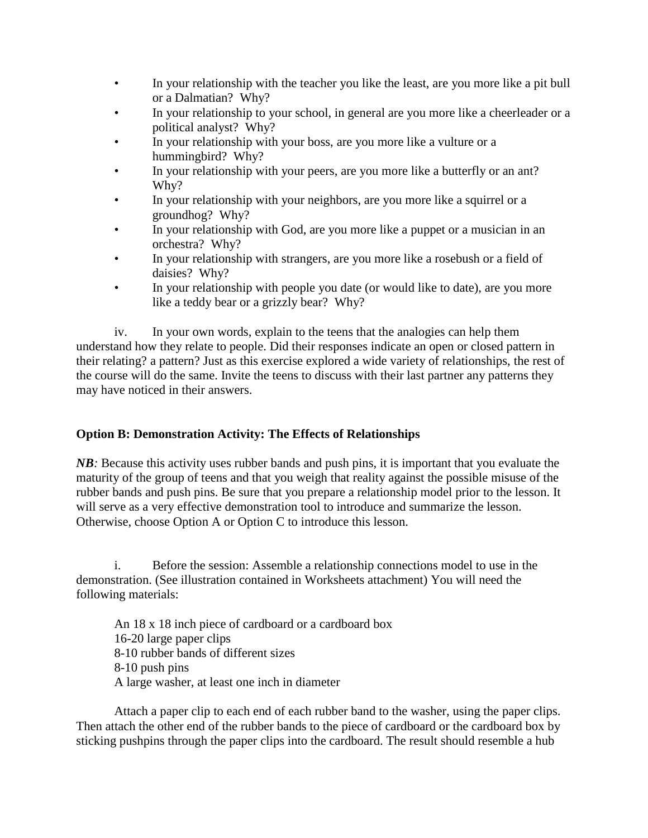- In your relationship with the teacher you like the least, are you more like a pit bull or a Dalmatian? Why?
- In your relationship to your school, in general are you more like a cheerleader or a political analyst? Why?
- In your relationship with your boss, are you more like a vulture or a hummingbird? Why?
- In your relationship with your peers, are you more like a butterfly or an ant? Why?
- In your relationship with your neighbors, are you more like a squirrel or a groundhog? Why?
- In your relationship with God, are you more like a puppet or a musician in an orchestra? Why?
- In your relationship with strangers, are you more like a rosebush or a field of daisies? Why?
- In your relationship with people you date (or would like to date), are you more like a teddy bear or a grizzly bear? Why?

iv. In your own words, explain to the teens that the analogies can help them understand how they relate to people. Did their responses indicate an open or closed pattern in their relating? a pattern? Just as this exercise explored a wide variety of relationships, the rest of the course will do the same. Invite the teens to discuss with their last partner any patterns they may have noticed in their answers.

#### **Option B: Demonstration Activity: The Effects of Relationships**

*NB*: Because this activity uses rubber bands and push pins, it is important that you evaluate the maturity of the group of teens and that you weigh that reality against the possible misuse of the rubber bands and push pins. Be sure that you prepare a relationship model prior to the lesson. It will serve as a very effective demonstration tool to introduce and summarize the lesson. Otherwise, choose Option A or Option C to introduce this lesson.

i. Before the session: Assemble a relationship connections model to use in the demonstration. (See illustration contained in Worksheets attachment) You will need the following materials:

An 18 x 18 inch piece of cardboard or a cardboard box 16-20 large paper clips 8-10 rubber bands of different sizes 8-10 push pins A large washer, at least one inch in diameter

Attach a paper clip to each end of each rubber band to the washer, using the paper clips. Then attach the other end of the rubber bands to the piece of cardboard or the cardboard box by sticking pushpins through the paper clips into the cardboard. The result should resemble a hub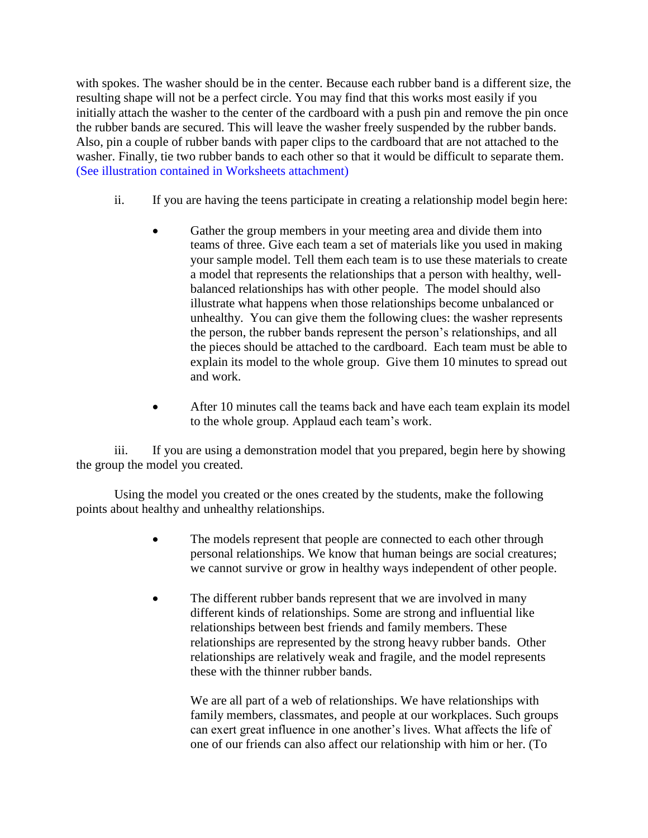with spokes. The washer should be in the center. Because each rubber band is a different size, the resulting shape will not be a perfect circle. You may find that this works most easily if you initially attach the washer to the center of the cardboard with a push pin and remove the pin once the rubber bands are secured. This will leave the washer freely suspended by the rubber bands. Also, pin a couple of rubber bands with paper clips to the cardboard that are not attached to the washer. Finally, tie two rubber bands to each other so that it would be difficult to separate them. (See illustration contained in Worksheets attachment)

- ii. If you are having the teens participate in creating a relationship model begin here:
	- Gather the group members in your meeting area and divide them into teams of three. Give each team a set of materials like you used in making your sample model. Tell them each team is to use these materials to create a model that represents the relationships that a person with healthy, wellbalanced relationships has with other people. The model should also illustrate what happens when those relationships become unbalanced or unhealthy. You can give them the following clues: the washer represents the person, the rubber bands represent the person's relationships, and all the pieces should be attached to the cardboard. Each team must be able to explain its model to the whole group. Give them 10 minutes to spread out and work.
	- After 10 minutes call the teams back and have each team explain its model to the whole group. Applaud each team's work.

iii. If you are using a demonstration model that you prepared, begin here by showing the group the model you created.

Using the model you created or the ones created by the students, make the following points about healthy and unhealthy relationships.

- The models represent that people are connected to each other through personal relationships. We know that human beings are social creatures; we cannot survive or grow in healthy ways independent of other people.
- The different rubber bands represent that we are involved in many different kinds of relationships. Some are strong and influential like relationships between best friends and family members. These relationships are represented by the strong heavy rubber bands. Other relationships are relatively weak and fragile, and the model represents these with the thinner rubber bands.

We are all part of a web of relationships. We have relationships with family members, classmates, and people at our workplaces. Such groups can exert great influence in one another's lives. What affects the life of one of our friends can also affect our relationship with him or her. (To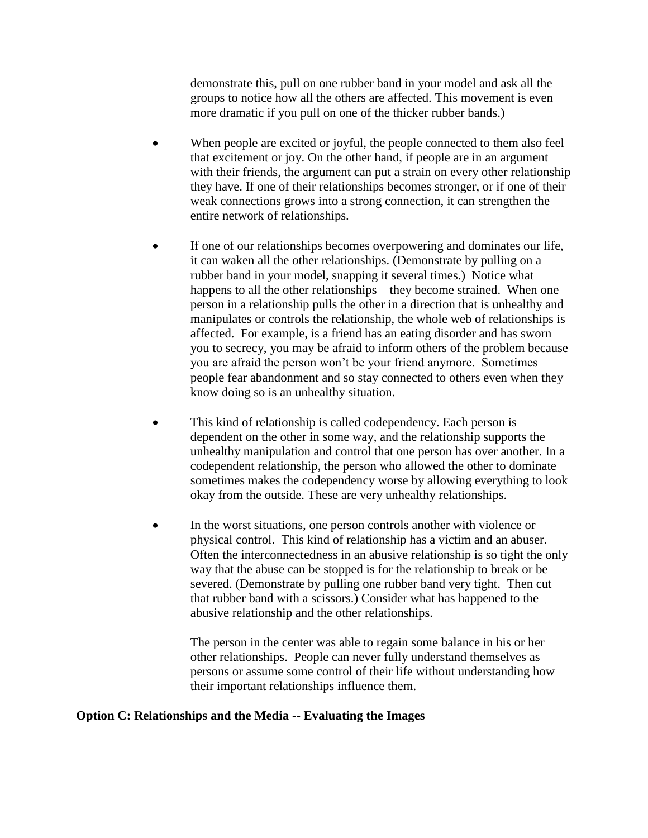demonstrate this, pull on one rubber band in your model and ask all the groups to notice how all the others are affected. This movement is even more dramatic if you pull on one of the thicker rubber bands.)

- When people are excited or joyful, the people connected to them also feel that excitement or joy. On the other hand, if people are in an argument with their friends, the argument can put a strain on every other relationship they have. If one of their relationships becomes stronger, or if one of their weak connections grows into a strong connection, it can strengthen the entire network of relationships.
- If one of our relationships becomes overpowering and dominates our life, it can waken all the other relationships. (Demonstrate by pulling on a rubber band in your model, snapping it several times.) Notice what happens to all the other relationships – they become strained. When one person in a relationship pulls the other in a direction that is unhealthy and manipulates or controls the relationship, the whole web of relationships is affected. For example, is a friend has an eating disorder and has sworn you to secrecy, you may be afraid to inform others of the problem because you are afraid the person won't be your friend anymore. Sometimes people fear abandonment and so stay connected to others even when they know doing so is an unhealthy situation.
- This kind of relationship is called codependency. Each person is dependent on the other in some way, and the relationship supports the unhealthy manipulation and control that one person has over another. In a codependent relationship, the person who allowed the other to dominate sometimes makes the codependency worse by allowing everything to look okay from the outside. These are very unhealthy relationships.
- In the worst situations, one person controls another with violence or physical control. This kind of relationship has a victim and an abuser. Often the interconnectedness in an abusive relationship is so tight the only way that the abuse can be stopped is for the relationship to break or be severed. (Demonstrate by pulling one rubber band very tight. Then cut that rubber band with a scissors.) Consider what has happened to the abusive relationship and the other relationships.

The person in the center was able to regain some balance in his or her other relationships. People can never fully understand themselves as persons or assume some control of their life without understanding how their important relationships influence them.

#### **Option C: Relationships and the Media -- Evaluating the Images**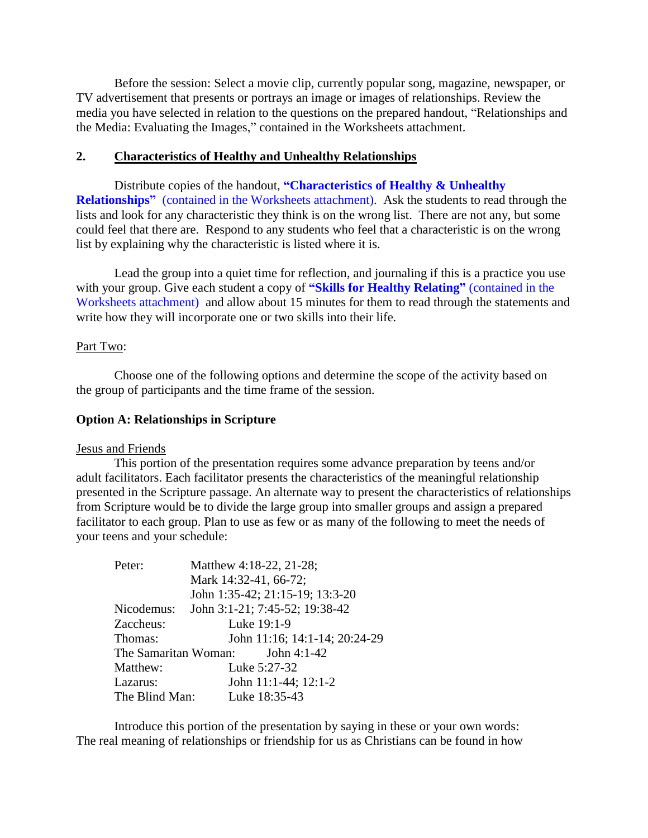Before the session: Select a movie clip, currently popular song, magazine, newspaper, or TV advertisement that presents or portrays an image or images of relationships. Review the media you have selected in relation to the questions on the prepared handout, "Relationships and the Media: Evaluating the Images," contained in the Worksheets attachment.

#### **2. Characteristics of Healthy and Unhealthy Relationships**

Distribute copies of the handout, **"Characteristics of Healthy & Unhealthy Relationships"** (contained in the Worksheets attachment). Ask the students to read through the lists and look for any characteristic they think is on the wrong list. There are not any, but some could feel that there are. Respond to any students who feel that a characteristic is on the wrong list by explaining why the characteristic is listed where it is.

Lead the group into a quiet time for reflection, and journaling if this is a practice you use with your group. Give each student a copy of **"Skills for Healthy Relating"** (contained in the Worksheets attachment) and allow about 15 minutes for them to read through the statements and write how they will incorporate one or two skills into their life.

#### Part Two:

Choose one of the following options and determine the scope of the activity based on the group of participants and the time frame of the session.

#### **Option A: Relationships in Scripture**

#### Jesus and Friends

This portion of the presentation requires some advance preparation by teens and/or adult facilitators. Each facilitator presents the characteristics of the meaningful relationship presented in the Scripture passage. An alternate way to present the characteristics of relationships from Scripture would be to divide the large group into smaller groups and assign a prepared facilitator to each group. Plan to use as few or as many of the following to meet the needs of your teens and your schedule:

| Peter:         | Matthew 4:18-22, 21-28;          |
|----------------|----------------------------------|
|                | Mark 14:32-41, 66-72;            |
|                | John 1:35-42; 21:15-19; 13:3-20  |
| Nicodemus:     | John 3:1-21; 7:45-52; 19:38-42   |
| Zaccheus:      | Luke 19:1-9                      |
| Thomas:        | John 11:16; 14:1-14; 20:24-29    |
|                | The Samaritan Woman: John 4:1-42 |
| Matthew:       | Luke 5:27-32                     |
| Lazarus:       | John 11:1-44; 12:1-2             |
| The Blind Man: | Luke 18:35-43                    |

Introduce this portion of the presentation by saying in these or your own words: The real meaning of relationships or friendship for us as Christians can be found in how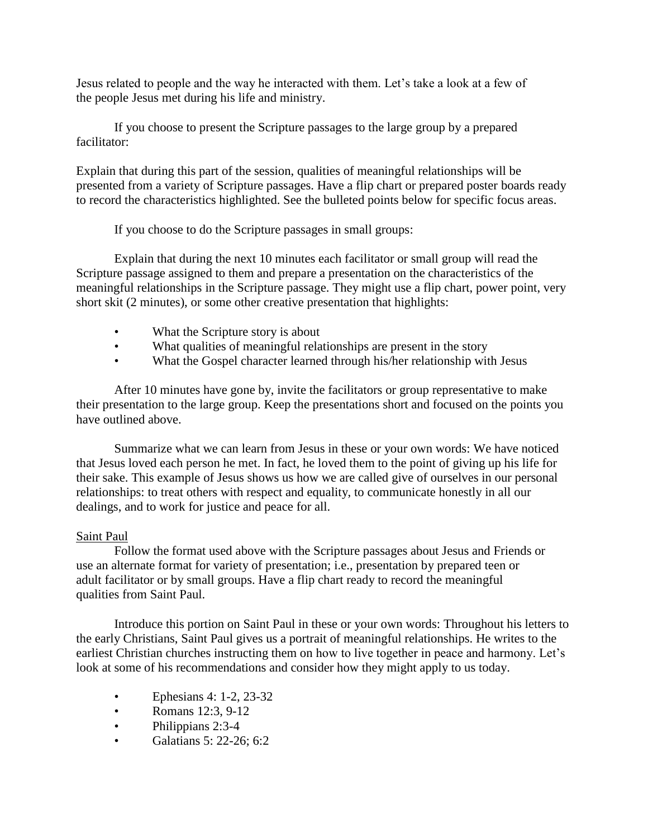Jesus related to people and the way he interacted with them. Let's take a look at a few of the people Jesus met during his life and ministry.

If you choose to present the Scripture passages to the large group by a prepared facilitator:

Explain that during this part of the session, qualities of meaningful relationships will be presented from a variety of Scripture passages. Have a flip chart or prepared poster boards ready to record the characteristics highlighted. See the bulleted points below for specific focus areas.

If you choose to do the Scripture passages in small groups:

Explain that during the next 10 minutes each facilitator or small group will read the Scripture passage assigned to them and prepare a presentation on the characteristics of the meaningful relationships in the Scripture passage. They might use a flip chart, power point, very short skit (2 minutes), or some other creative presentation that highlights:

- What the Scripture story is about
- What qualities of meaningful relationships are present in the story
- What the Gospel character learned through his/her relationship with Jesus

After 10 minutes have gone by, invite the facilitators or group representative to make their presentation to the large group. Keep the presentations short and focused on the points you have outlined above.

Summarize what we can learn from Jesus in these or your own words: We have noticed that Jesus loved each person he met. In fact, he loved them to the point of giving up his life for their sake. This example of Jesus shows us how we are called give of ourselves in our personal relationships: to treat others with respect and equality, to communicate honestly in all our dealings, and to work for justice and peace for all.

#### Saint Paul

Follow the format used above with the Scripture passages about Jesus and Friends or use an alternate format for variety of presentation; i.e., presentation by prepared teen or adult facilitator or by small groups. Have a flip chart ready to record the meaningful qualities from Saint Paul.

Introduce this portion on Saint Paul in these or your own words: Throughout his letters to the early Christians, Saint Paul gives us a portrait of meaningful relationships. He writes to the earliest Christian churches instructing them on how to live together in peace and harmony. Let's look at some of his recommendations and consider how they might apply to us today.

- Ephesians 4: 1-2, 23-32
- Romans 12:3, 9-12
- Philippians 2:3-4
- Galatians 5: 22-26; 6:2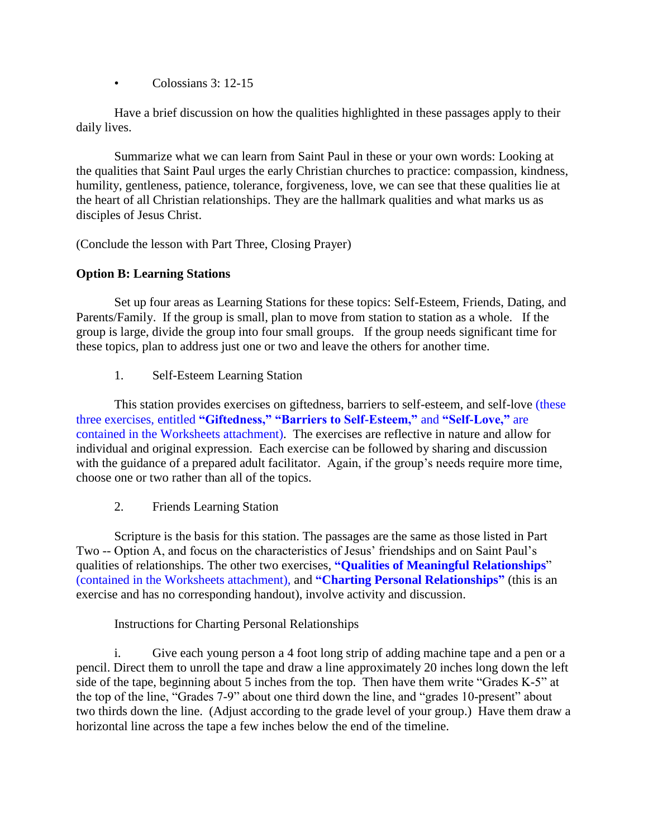• Colossians 3: 12-15

Have a brief discussion on how the qualities highlighted in these passages apply to their daily lives.

Summarize what we can learn from Saint Paul in these or your own words: Looking at the qualities that Saint Paul urges the early Christian churches to practice: compassion, kindness, humility, gentleness, patience, tolerance, forgiveness, love, we can see that these qualities lie at the heart of all Christian relationships. They are the hallmark qualities and what marks us as disciples of Jesus Christ.

(Conclude the lesson with Part Three, Closing Prayer)

#### **Option B: Learning Stations**

Set up four areas as Learning Stations for these topics: Self-Esteem, Friends, Dating, and Parents/Family. If the group is small, plan to move from station to station as a whole. If the group is large, divide the group into four small groups. If the group needs significant time for these topics, plan to address just one or two and leave the others for another time.

1. Self-Esteem Learning Station

This station provides exercises on giftedness, barriers to self-esteem, and self-love (these three exercises, entitled **"Giftedness," "Barriers to Self-Esteem,"** and **"Self-Love,"** are contained in the Worksheets attachment). The exercises are reflective in nature and allow for individual and original expression. Each exercise can be followed by sharing and discussion with the guidance of a prepared adult facilitator. Again, if the group's needs require more time, choose one or two rather than all of the topics.

2. Friends Learning Station

Scripture is the basis for this station. The passages are the same as those listed in Part Two -- Option A, and focus on the characteristics of Jesus' friendships and on Saint Paul's qualities of relationships. The other two exercises*,* **"Qualities of Meaningful Relationships**" (contained in the Worksheets attachment), and **"Charting Personal Relationships"** (this is an exercise and has no corresponding handout), involve activity and discussion.

Instructions for Charting Personal Relationships

i. Give each young person a 4 foot long strip of adding machine tape and a pen or a pencil. Direct them to unroll the tape and draw a line approximately 20 inches long down the left side of the tape, beginning about 5 inches from the top. Then have them write "Grades K-5" at the top of the line, "Grades 7-9" about one third down the line, and "grades 10-present" about two thirds down the line. (Adjust according to the grade level of your group.) Have them draw a horizontal line across the tape a few inches below the end of the timeline.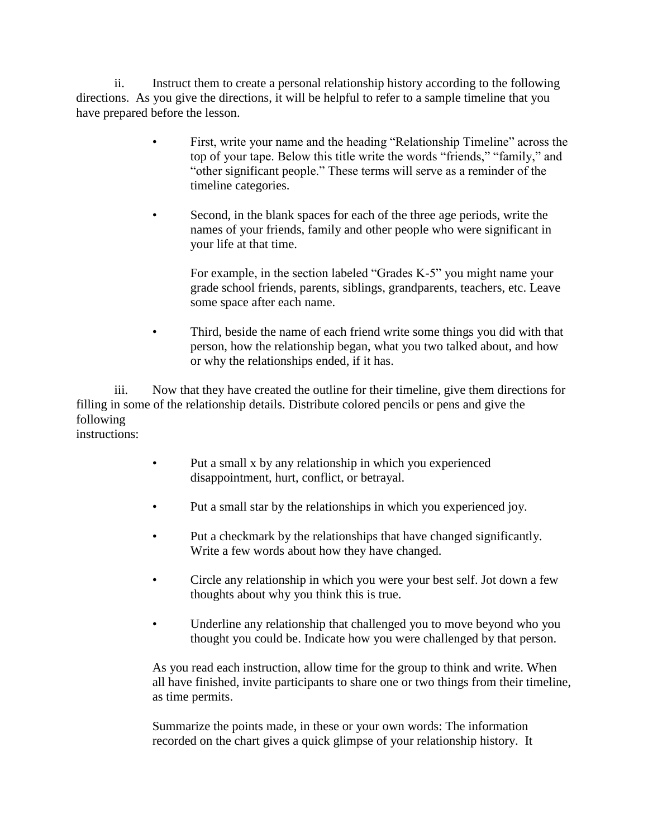ii. Instruct them to create a personal relationship history according to the following directions. As you give the directions, it will be helpful to refer to a sample timeline that you have prepared before the lesson.

- First, write your name and the heading "Relationship Timeline" across the top of your tape. Below this title write the words "friends," "family," and "other significant people." These terms will serve as a reminder of the timeline categories.
- Second, in the blank spaces for each of the three age periods, write the names of your friends, family and other people who were significant in your life at that time.

For example, in the section labeled "Grades K-5" you might name your grade school friends, parents, siblings, grandparents, teachers, etc. Leave some space after each name.

• Third, beside the name of each friend write some things you did with that person, how the relationship began, what you two talked about, and how or why the relationships ended, if it has.

iii. Now that they have created the outline for their timeline, give them directions for filling in some of the relationship details. Distribute colored pencils or pens and give the following instructions:

- Put a small x by any relationship in which you experienced disappointment, hurt, conflict, or betrayal.
- Put a small star by the relationships in which you experienced joy.
- Put a checkmark by the relationships that have changed significantly. Write a few words about how they have changed.
- Circle any relationship in which you were your best self. Jot down a few thoughts about why you think this is true.
- Underline any relationship that challenged you to move beyond who you thought you could be. Indicate how you were challenged by that person.

As you read each instruction, allow time for the group to think and write. When all have finished, invite participants to share one or two things from their timeline, as time permits.

Summarize the points made, in these or your own words: The information recorded on the chart gives a quick glimpse of your relationship history. It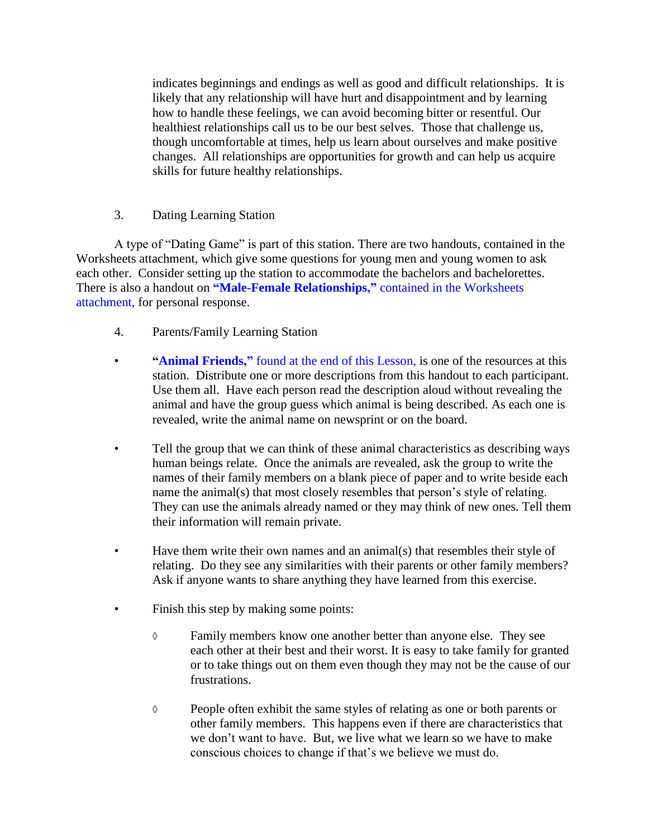indicates beginnings and endings as well as good and difficult relationships. It is likely that any relationship will have hurt and disappointment and by learning how to handle these feelings, we can avoid becoming bitter or resentful. Our healthiest relationships call us to be our best selves. Those that challenge us, though uncomfortable at times, help us learn about ourselves and make positive changes. All relationships are opportunities for growth and can help us acquire skills for future healthy relationships.

#### 3. Dating Learning Station

A type of "Dating Game" is part of this station. There are two handouts, contained in the Worksheets attachment, which give some questions for young men and young women to ask each other. Consider setting up the station to accommodate the bachelors and bachelorettes. There is also a handout on **"Male-Female Relationships,"** contained in the Worksheets attachment, for personal response.

- 4. Parents/Family Learning Station
- **"Animal Friends,"** found at the end of this Lesson, is one of the resources at this station. Distribute one or more descriptions from this handout to each participant. Use them all. Have each person read the description aloud without revealing the animal and have the group guess which animal is being described. As each one is revealed, write the animal name on newsprint or on the board.
- Tell the group that we can think of these animal characteristics as describing ways human beings relate. Once the animals are revealed, ask the group to write the names of their family members on a blank piece of paper and to write beside each name the animal(s) that most closely resembles that person's style of relating. They can use the animals already named or they may think of new ones. Tell them their information will remain private.
- Have them write their own names and an animal(s) that resembles their style of relating. Do they see any similarities with their parents or other family members? Ask if anyone wants to share anything they have learned from this exercise.
- Finish this step by making some points:
	- ◊ Family members know one another better than anyone else. They see each other at their best and their worst. It is easy to take family for granted or to take things out on them even though they may not be the cause of our frustrations.
	- ◊ People often exhibit the same styles of relating as one or both parents or other family members. This happens even if there are characteristics that we don't want to have. But, we live what we learn so we have to make conscious choices to change if that's we believe we must do.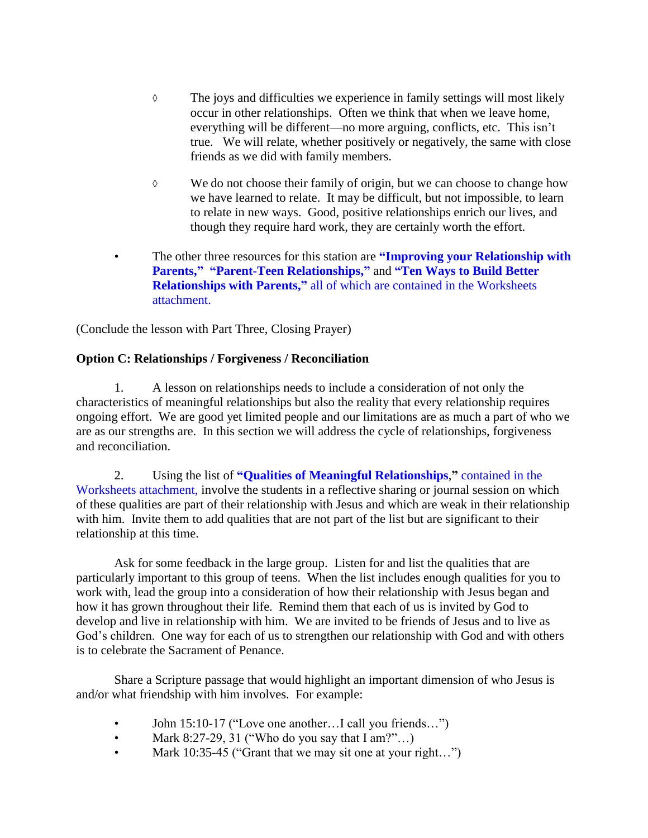- ◊ The joys and difficulties we experience in family settings will most likely occur in other relationships. Often we think that when we leave home, everything will be different—no more arguing, conflicts, etc. This isn't true. We will relate, whether positively or negatively, the same with close friends as we did with family members.
- ◊ We do not choose their family of origin, but we can choose to change how we have learned to relate. It may be difficult, but not impossible, to learn to relate in new ways. Good, positive relationships enrich our lives, and though they require hard work, they are certainly worth the effort.
- The other three resources for this station are **"Improving your Relationship with Parents," "Parent-Teen Relationships,"** and **"Ten Ways to Build Better Relationships with Parents,"** all of which are contained in the Worksheets attachment.

(Conclude the lesson with Part Three, Closing Prayer)

#### **Option C: Relationships / Forgiveness / Reconciliation**

1. A lesson on relationships needs to include a consideration of not only the characteristics of meaningful relationships but also the reality that every relationship requires ongoing effort. We are good yet limited people and our limitations are as much a part of who we are as our strengths are. In this section we will address the cycle of relationships, forgiveness and reconciliation.

2. Using the list of **"Qualities of Meaningful Relationships**,**"** contained in the Worksheets attachment, involve the students in a reflective sharing or journal session on which of these qualities are part of their relationship with Jesus and which are weak in their relationship with him. Invite them to add qualities that are not part of the list but are significant to their relationship at this time.

Ask for some feedback in the large group. Listen for and list the qualities that are particularly important to this group of teens. When the list includes enough qualities for you to work with, lead the group into a consideration of how their relationship with Jesus began and how it has grown throughout their life. Remind them that each of us is invited by God to develop and live in relationship with him. We are invited to be friends of Jesus and to live as God's children. One way for each of us to strengthen our relationship with God and with others is to celebrate the Sacrament of Penance.

Share a Scripture passage that would highlight an important dimension of who Jesus is and/or what friendship with him involves. For example:

- John 15:10-17 ("Love one another... I call you friends...")
- Mark 8:27-29, 31 ("Who do you say that  $\text{I am?}$ "...)
- Mark 10:35-45 ("Grant that we may sit one at your right...")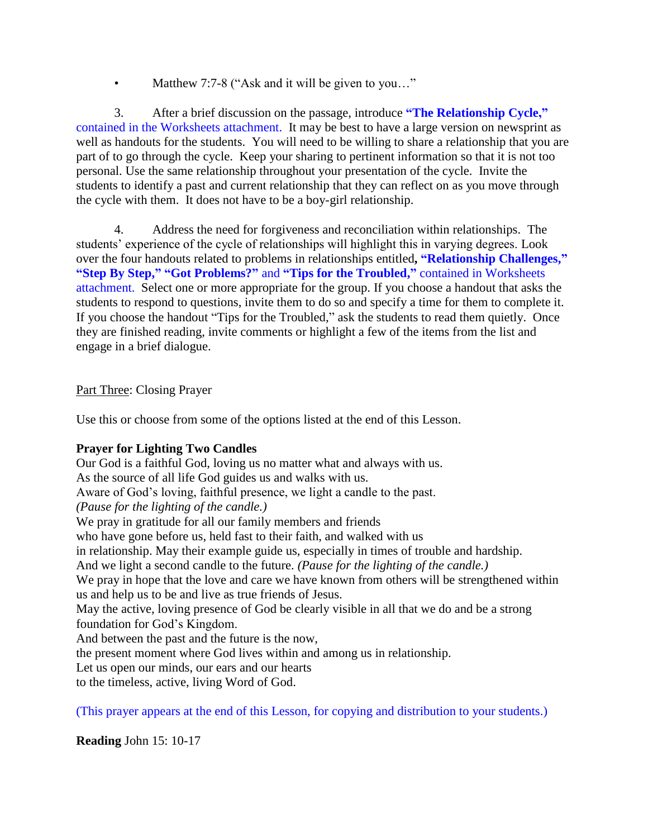Matthew 7:7-8 ("Ask and it will be given to you..."

3. After a brief discussion on the passage, introduce **"The Relationship Cycle,"** contained in the Worksheets attachment. It may be best to have a large version on newsprint as well as handouts for the students. You will need to be willing to share a relationship that you are part of to go through the cycle. Keep your sharing to pertinent information so that it is not too personal. Use the same relationship throughout your presentation of the cycle. Invite the students to identify a past and current relationship that they can reflect on as you move through the cycle with them. It does not have to be a boy-girl relationship.

4. Address the need for forgiveness and reconciliation within relationships. The students' experience of the cycle of relationships will highlight this in varying degrees. Look over the four handouts related to problems in relationships entitled**, "Relationship Challenges," "Step By Step," "Got Problems?"** and **"Tips for the Troubled,"** contained in Worksheets attachment. Select one or more appropriate for the group. If you choose a handout that asks the students to respond to questions, invite them to do so and specify a time for them to complete it. If you choose the handout "Tips for the Troubled," ask the students to read them quietly. Once they are finished reading, invite comments or highlight a few of the items from the list and engage in a brief dialogue.

Part Three: Closing Prayer

Use this or choose from some of the options listed at the end of this Lesson.

#### **Prayer for Lighting Two Candles**

Our God is a faithful God, loving us no matter what and always with us.

As the source of all life God guides us and walks with us.

Aware of God's loving, faithful presence, we light a candle to the past.

*(Pause for the lighting of the candle.)*

We pray in gratitude for all our family members and friends

who have gone before us, held fast to their faith, and walked with us

in relationship. May their example guide us, especially in times of trouble and hardship.

And we light a second candle to the future. *(Pause for the lighting of the candle.)*

We pray in hope that the love and care we have known from others will be strengthened within us and help us to be and live as true friends of Jesus.

May the active, loving presence of God be clearly visible in all that we do and be a strong foundation for God's Kingdom.

And between the past and the future is the now,

the present moment where God lives within and among us in relationship.

Let us open our minds, our ears and our hearts

to the timeless, active, living Word of God.

(This prayer appears at the end of this Lesson, for copying and distribution to your students.)

**Reading** John 15: 10-17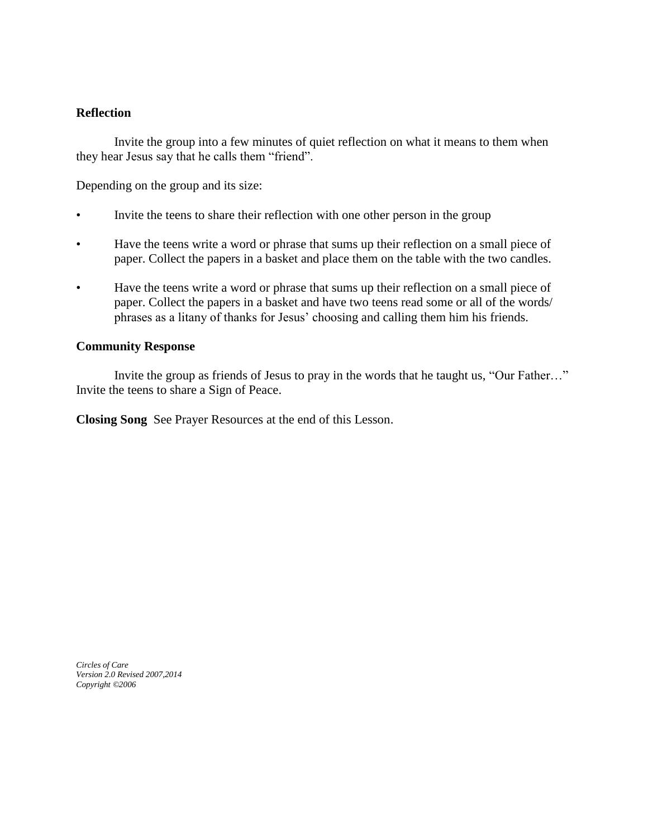#### **Reflection**

Invite the group into a few minutes of quiet reflection on what it means to them when they hear Jesus say that he calls them "friend".

Depending on the group and its size:

- Invite the teens to share their reflection with one other person in the group
- Have the teens write a word or phrase that sums up their reflection on a small piece of paper. Collect the papers in a basket and place them on the table with the two candles.
- Have the teens write a word or phrase that sums up their reflection on a small piece of paper. Collect the papers in a basket and have two teens read some or all of the words/ phrases as a litany of thanks for Jesus' choosing and calling them him his friends.

#### **Community Response**

Invite the group as friends of Jesus to pray in the words that he taught us, "Our Father…" Invite the teens to share a Sign of Peace.

**Closing Song** See Prayer Resources at the end of this Lesson.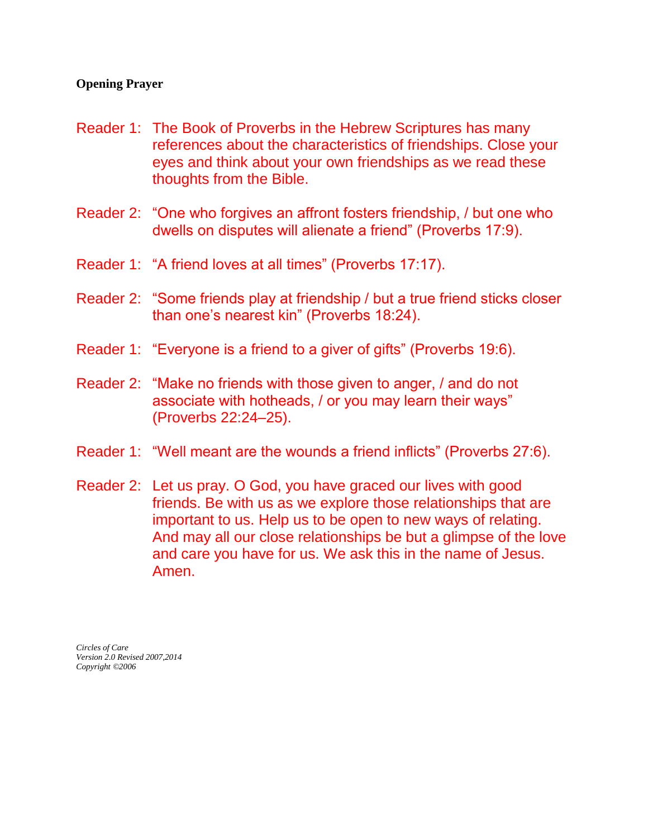#### **Opening Prayer**

- Reader 1: The Book of Proverbs in the Hebrew Scriptures has many references about the characteristics of friendships. Close your eyes and think about your own friendships as we read these thoughts from the Bible.
- Reader 2: "One who forgives an affront fosters friendship, / but one who dwells on disputes will alienate a friend" (Proverbs 17:9).
- Reader 1: "A friend loves at all times" (Proverbs 17:17).
- Reader 2: "Some friends play at friendship / but a true friend sticks closer than one's nearest kin" (Proverbs 18:24).
- Reader 1: "Everyone is a friend to a giver of gifts" (Proverbs 19:6).
- Reader 2: "Make no friends with those given to anger, / and do not associate with hotheads, / or you may learn their ways" (Proverbs 22:24–25).
- Reader 1: "Well meant are the wounds a friend inflicts" (Proverbs 27:6).
- Reader 2: Let us pray. O God, you have graced our lives with good friends. Be with us as we explore those relationships that are important to us. Help us to be open to new ways of relating. And may all our close relationships be but a glimpse of the love and care you have for us. We ask this in the name of Jesus. Amen.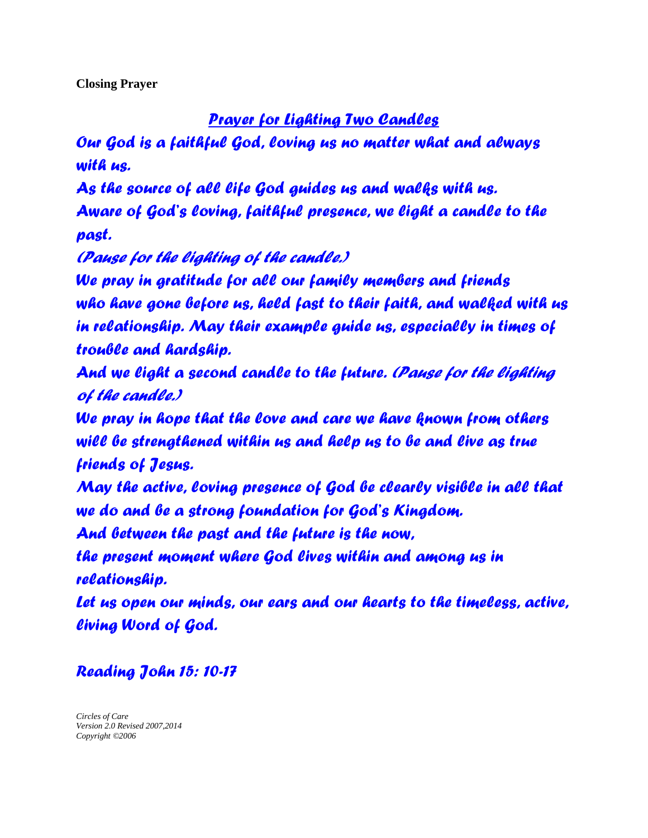**Closing Prayer**

## *Prayer for Lighting Two Candles*

*Our God is a faithful God, loving us no matter what and always with us.*

*As the source of all life God guides us and walks with us.*

*Aware of God's loving, faithful presence, we light a candle to the past.*

*(Pause for the lighting of the candle.)*

*We pray in gratitude for all our family members and friends who have gone before us, held fast to their faith, and walked with us in relationship. May their example guide us, especially in times of trouble and hardship.*

*And we light a second candle to the future. (Pause for the lighting of the candle.)*

*We pray in hope that the love and care we have known from others will be strengthened within us and help us to be and live as true friends of Jesus.*

*May the active, loving presence of God be clearly visible in all that we do and be a strong foundation for God's Kingdom.*

*And between the past and the future is the now,*

*the present moment where God lives within and among us in relationship.*

*Let us open our minds, our ears and our hearts to the timeless, active, living Word of God.*

## *Reading John 15: 10-17*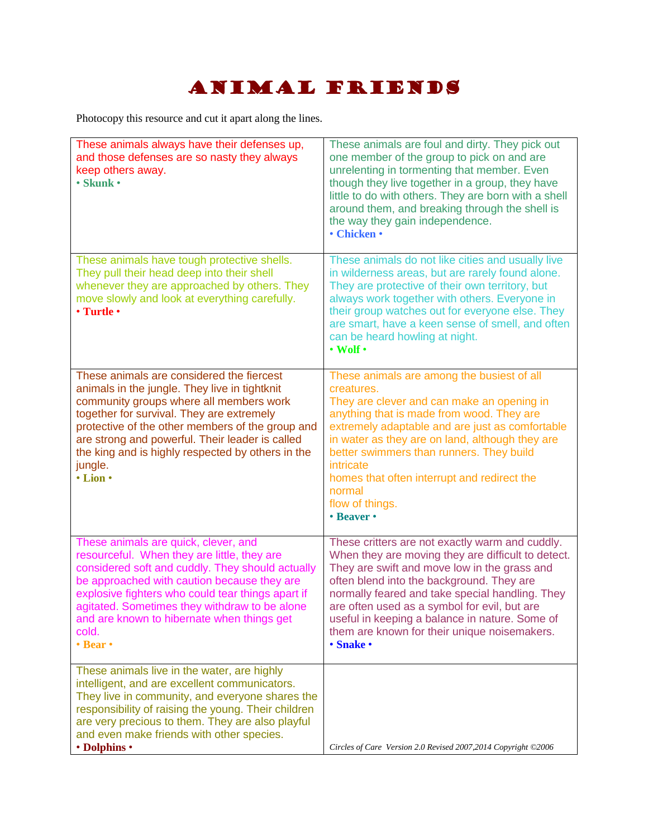# Animal Friends

Photocopy this resource and cut it apart along the lines.

| These animals always have their defenses up,<br>and those defenses are so nasty they always<br>keep others away.<br>· Skunk ·                                                                                                                                                                                                                                                     | These animals are foul and dirty. They pick out<br>one member of the group to pick on and are<br>unrelenting in tormenting that member. Even<br>though they live together in a group, they have<br>little to do with others. They are born with a shell<br>around them, and breaking through the shell is<br>the way they gain independence.<br>• Chicken •                                                          |
|-----------------------------------------------------------------------------------------------------------------------------------------------------------------------------------------------------------------------------------------------------------------------------------------------------------------------------------------------------------------------------------|----------------------------------------------------------------------------------------------------------------------------------------------------------------------------------------------------------------------------------------------------------------------------------------------------------------------------------------------------------------------------------------------------------------------|
| These animals have tough protective shells.<br>They pull their head deep into their shell<br>whenever they are approached by others. They<br>move slowly and look at everything carefully.<br>• Turtle •                                                                                                                                                                          | These animals do not like cities and usually live<br>in wilderness areas, but are rarely found alone.<br>They are protective of their own territory, but<br>always work together with others. Everyone in<br>their group watches out for everyone else. They<br>are smart, have a keen sense of smell, and often<br>can be heard howling at night.<br>$\cdot$ Wolf $\cdot$                                           |
| These animals are considered the fiercest<br>animals in the jungle. They live in tightknit<br>community groups where all members work<br>together for survival. They are extremely<br>protective of the other members of the group and<br>are strong and powerful. Their leader is called<br>the king and is highly respected by others in the<br>jungle.<br>$\cdot$ Lion $\cdot$ | These animals are among the busiest of all<br>creatures.<br>They are clever and can make an opening in<br>anything that is made from wood. They are<br>extremely adaptable and are just as comfortable<br>in water as they are on land, although they are<br>better swimmers than runners. They build<br>intricate<br>homes that often interrupt and redirect the<br>normal<br>flow of things.<br>• Beaver •         |
| These animals are quick, clever, and<br>resourceful. When they are little, they are<br>considered soft and cuddly. They should actually<br>be approached with caution because they are<br>explosive fighters who could tear things apart if<br>agitated. Sometimes they withdraw to be alone<br>and are known to hibernate when things get<br>cold.<br>• Bear •                   | These critters are not exactly warm and cuddly.<br>When they are moving they are difficult to detect.<br>They are swift and move low in the grass and<br>often blend into the background. They are<br>normally feared and take special handling. They<br>are often used as a symbol for evil, but are<br>useful in keeping a balance in nature. Some of<br>them are known for their unique noisemakers.<br>• Snake • |
| These animals live in the water, are highly<br>intelligent, and are excellent communicators.<br>They live in community, and everyone shares the<br>responsibility of raising the young. Their children<br>are very precious to them. They are also playful<br>and even make friends with other species.<br>• Dolphins •                                                           | Circles of Care Version 2.0 Revised 2007,2014 Copyright ©2006                                                                                                                                                                                                                                                                                                                                                        |